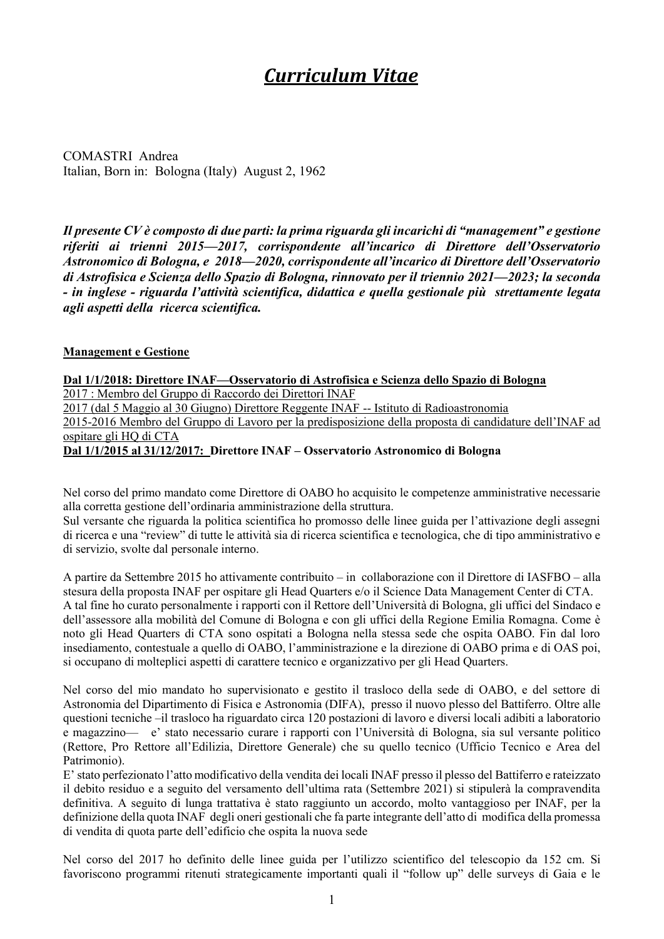# *Curriculum Vitae*

COMASTRI Andrea Italian, Born in: Bologna (Italy) August 2, 1962

*Il presente CV è composto di due parti: la prima riguarda gli incarichi di "management" e gestione riferiti ai trienni 2015—2017, corrispondente all'incarico di Direttore dell'Osservatorio Astronomico di Bologna, e 2018—2020, corrispondente all'incarico di Direttore dell'Osservatorio di Astrofisica e Scienza dello Spazio di Bologna, rinnovato per il triennio 2021—2023; la seconda - in inglese - riguarda l'attività scientifica, didattica e quella gestionale più strettamente legata agli aspetti della ricerca scientifica.*

#### **Management e Gestione**

**Dal 1/1/2018: Direttore INAF—Osservatorio di Astrofisica e Scienza dello Spazio di Bologna**  2017 : Membro del Gruppo di Raccordo dei Direttori INAF 2017 (dal 5 Maggio al 30 Giugno) Direttore Reggente INAF -- Istituto di Radioastronomia 2015-2016 Membro del Gruppo di Lavoro per la predisposizione della proposta di candidature dell'INAF ad ospitare gli HQ di CTA **Dal 1/1/2015 al 31/12/2017: Direttore INAF – Osservatorio Astronomico di Bologna** 

Nel corso del primo mandato come Direttore di OABO ho acquisito le competenze amministrative necessarie alla corretta gestione dell'ordinaria amministrazione della struttura.

Sul versante che riguarda la politica scientifica ho promosso delle linee guida per l'attivazione degli assegni di ricerca e una "review" di tutte le attività sia di ricerca scientifica e tecnologica, che di tipo amministrativo e di servizio, svolte dal personale interno.

A partire da Settembre 2015 ho attivamente contribuito – in collaborazione con il Direttore di IASFBO – alla stesura della proposta INAF per ospitare gli Head Quarters e/o il Science Data Management Center di CTA. A tal fine ho curato personalmente i rapporti con il Rettore dell'Università di Bologna, gli uffici del Sindaco e dell'assessore alla mobilità del Comune di Bologna e con gli uffici della Regione Emilia Romagna. Come è noto gli Head Quarters di CTA sono ospitati a Bologna nella stessa sede che ospita OABO. Fin dal loro insediamento, contestuale a quello di OABO, l'amministrazione e la direzione di OABO prima e di OAS poi, si occupano di molteplici aspetti di carattere tecnico e organizzativo per gli Head Quarters.

Nel corso del mio mandato ho supervisionato e gestito il trasloco della sede di OABO, e del settore di Astronomia del Dipartimento di Fisica e Astronomia (DIFA), presso il nuovo plesso del Battiferro. Oltre alle questioni tecniche –il trasloco ha riguardato circa 120 postazioni di lavoro e diversi locali adibiti a laboratorio e magazzino— e' stato necessario curare i rapporti con l'Università di Bologna, sia sul versante politico (Rettore, Pro Rettore all'Edilizia, Direttore Generale) che su quello tecnico (Ufficio Tecnico e Area del Patrimonio).

E' stato perfezionato l'atto modificativo della vendita dei locali INAF presso il plesso del Battiferro e rateizzato il debito residuo e a seguito del versamento dell'ultima rata (Settembre 2021) si stipulerà la compravendita definitiva. A seguito di lunga trattativa è stato raggiunto un accordo, molto vantaggioso per INAF, per la definizione della quota INAF degli oneri gestionali che fa parte integrante dell'atto di modifica della promessa di vendita di quota parte dell'edificio che ospita la nuova sede

Nel corso del 2017 ho definito delle linee guida per l'utilizzo scientifico del telescopio da 152 cm. Si favoriscono programmi ritenuti strategicamente importanti quali il "follow up" delle surveys di Gaia e le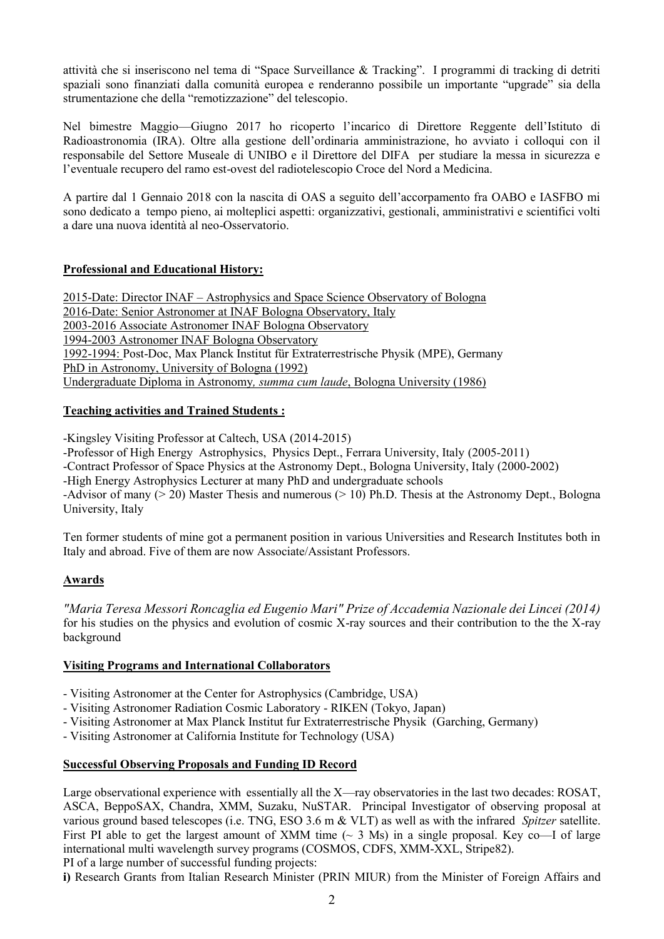attività che si inseriscono nel tema di "Space Surveillance & Tracking". I programmi di tracking di detriti spaziali sono finanziati dalla comunità europea e renderanno possibile un importante "upgrade" sia della strumentazione che della "remotizzazione" del telescopio.

Nel bimestre Maggio—Giugno 2017 ho ricoperto l'incarico di Direttore Reggente dell'Istituto di Radioastronomia (IRA). Oltre alla gestione dell'ordinaria amministrazione, ho avviato i colloqui con il responsabile del Settore Museale di UNIBO e il Direttore del DIFA per studiare la messa in sicurezza e l'eventuale recupero del ramo est-ovest del radiotelescopio Croce del Nord a Medicina.

A partire dal 1 Gennaio 2018 con la nascita di OAS a seguito dell'accorpamento fra OABO e IASFBO mi sono dedicato a tempo pieno, ai molteplici aspetti: organizzativi, gestionali, amministrativi e scientifici volti a dare una nuova identità al neo-Osservatorio.

# **Professional and Educational History:**

2015-Date: Director INAF – Astrophysics and Space Science Observatory of Bologna 2016-Date: Senior Astronomer at INAF Bologna Observatory, Italy 2003-2016 Associate Astronomer INAF Bologna Observatory 1994-2003 Astronomer INAF Bologna Observatory 1992-1994: Post-Doc, Max Planck Institut für Extraterrestrische Physik (MPE), Germany PhD in Astronomy, University of Bologna (1992) Undergraduate Diploma in Astronomy*, summa cum laude*, Bologna University (1986)

# **Teaching activities and Trained Students :**

-Kingsley Visiting Professor at Caltech, USA (2014-2015)

-Professor of High Energy Astrophysics, Physics Dept., Ferrara University, Italy (2005-2011)

-Contract Professor of Space Physics at the Astronomy Dept., Bologna University, Italy (2000-2002)

-High Energy Astrophysics Lecturer at many PhD and undergraduate schools

-Advisor of many  $(> 20)$  Master Thesis and numerous  $(> 10)$  Ph.D. Thesis at the Astronomy Dept., Bologna University, Italy

Ten former students of mine got a permanent position in various Universities and Research Institutes both in Italy and abroad. Five of them are now Associate/Assistant Professors.

# **Awards**

*"Maria Teresa Messori Roncaglia ed Eugenio Mari" Prize of Accademia Nazionale dei Lincei (2014)* for his studies on the physics and evolution of cosmic X-ray sources and their contribution to the the X-ray background

## **Visiting Programs and International Collaborators**

- Visiting Astronomer at the Center for Astrophysics (Cambridge, USA)

- Visiting Astronomer Radiation Cosmic Laboratory - RIKEN (Tokyo, Japan)

- Visiting Astronomer at Max Planck Institut fur Extraterrestrische Physik (Garching, Germany)

- Visiting Astronomer at California Institute for Technology (USA)

## **Successful Observing Proposals and Funding ID Record**

Large observational experience with essentially all the X—ray observatories in the last two decades: ROSAT, ASCA, BeppoSAX, Chandra, XMM, Suzaku, NuSTAR. Principal Investigator of observing proposal at various ground based telescopes (i.e. TNG, ESO 3.6 m & VLT) as well as with the infrared *Spitzer* satellite. First PI able to get the largest amount of XMM time  $(\sim 3 \text{ Ms})$  in a single proposal. Key co—I of large international multi wavelength survey programs (COSMOS, CDFS, XMM-XXL, Stripe82). PI of a large number of successful funding projects:

**i)** Research Grants from Italian Research Minister (PRIN MIUR) from the Minister of Foreign Affairs and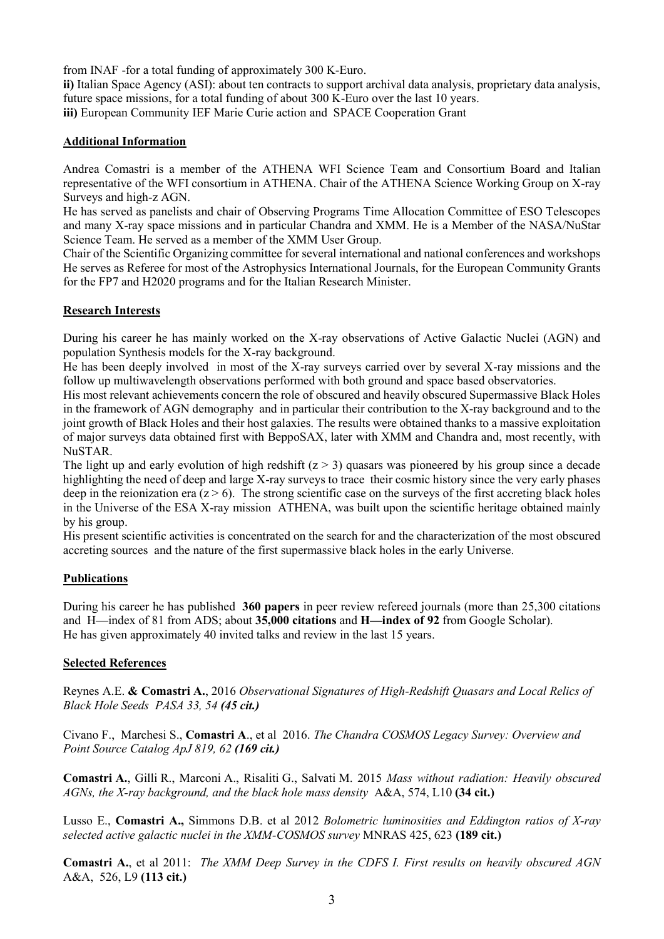from INAF -for a total funding of approximately 300 K-Euro.

**ii)** Italian Space Agency (ASI): about ten contracts to support archival data analysis, proprietary data analysis, future space missions, for a total funding of about 300 K-Euro over the last 10 years. **iii)** European Community IEF Marie Curie action and SPACE Cooperation Grant

#### **Additional Information**

Andrea Comastri is a member of the ATHENA WFI Science Team and Consortium Board and Italian representative of the WFI consortium in ATHENA. Chair of the ATHENA Science Working Group on X-ray Surveys and high-z AGN.

He has served as panelists and chair of Observing Programs Time Allocation Committee of ESO Telescopes and many X-ray space missions and in particular Chandra and XMM. He is a Member of the NASA/NuStar Science Team. He served as a member of the XMM User Group.

Chair of the Scientific Organizing committee for several international and national conferences and workshops He serves as Referee for most of the Astrophysics International Journals, for the European Community Grants for the FP7 and H2020 programs and for the Italian Research Minister.

#### **Research Interests**

During his career he has mainly worked on the X-ray observations of Active Galactic Nuclei (AGN) and population Synthesis models for the X-ray background.

He has been deeply involved in most of the X-ray surveys carried over by several X-ray missions and the follow up multiwavelength observations performed with both ground and space based observatories.

His most relevant achievements concern the role of obscured and heavily obscured Supermassive Black Holes in the framework of AGN demography and in particular their contribution to the X-ray background and to the joint growth of Black Holes and their host galaxies. The results were obtained thanks to a massive exploitation of major surveys data obtained first with BeppoSAX, later with XMM and Chandra and, most recently, with NuSTAR.

The light up and early evolution of high redshift  $(z > 3)$  quasars was pioneered by his group since a decade highlighting the need of deep and large X-ray surveys to trace their cosmic history since the very early phases deep in the reionization era  $(z > 6)$ . The strong scientific case on the surveys of the first accreting black holes in the Universe of the ESA X-ray mission ATHENA, was built upon the scientific heritage obtained mainly by his group.

His present scientific activities is concentrated on the search for and the characterization of the most obscured accreting sources and the nature of the first supermassive black holes in the early Universe.

## **Publications**

During his career he has published **360 papers** in peer review refereed journals (more than 25,300 citations and H—index of 81 from ADS; about **35,000 citations** and **H—index of 92** from Google Scholar). He has given approximately 40 invited talks and review in the last 15 years.

#### **Selected References**

Reynes A.E. **& Comastri A.**, 2016 *Observational Signatures of High-Redshift Quasars and Local Relics of Black Hole Seeds PASA 33, 54 (45 cit.)*

Civano F., Marchesi S., **Comastri A**., et al 2016. *The Chandra COSMOS Legacy Survey: Overview and Point Source Catalog ApJ 819, 62 (169 cit.)*

**Comastri A.**, Gilli R., Marconi A., Risaliti G., Salvati M. 2015 *Mass without radiation: Heavily obscured AGNs, the X-ray background, and the black hole mass density* A&A, 574, L10 **(34 cit.)**

Lusso E., **Comastri A.,** Simmons D.B. et al 2012 *Bolometric luminosities and Eddington ratios of X-ray selected active galactic nuclei in the XMM-COSMOS survey* MNRAS 425, 623 **(189 cit.)**

**Comastri A.**, et al 2011: *The XMM Deep Survey in the CDFS I. First results on heavily obscured AGN*  A&A, 526, L9 **(113 cit.)**